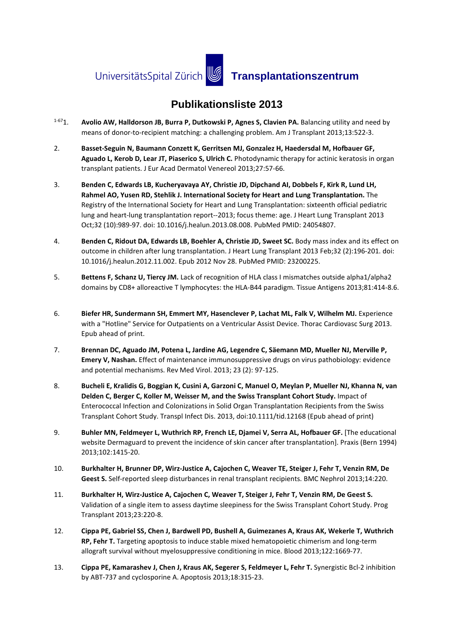UniversitätsSpital Zürich **1 Transplantationszentrum** 

## **Publikationsliste 2013**

- <span id="page-0-0"></span>[1-671](#page-0-0). **Avolio AW, Halldorson JB, Burra P, Dutkowski P, Agnes S, Clavien PA.** Balancing utility and need by means of donor-to-recipient matching: a challenging problem. Am J Transplant 2013;13:522-3.
- 2. **Basset-Seguin N, Baumann Conzett K, Gerritsen MJ, Gonzalez H, Haedersdal M, Hofbauer GF, Aguado L, Kerob D, Lear JT, Piaserico S, Ulrich C.** Photodynamic therapy for actinic keratosis in organ transplant patients. J Eur Acad Dermatol Venereol 2013;27:57-66.
- 3. **Benden C, Edwards LB, Kucheryavaya AY, Christie JD, Dipchand AI, Dobbels F, Kirk R, Lund LH, Rahmel AO, Yusen RD, Stehlik J. International Society for Heart and Lung Transplantation.** The Registry of the International Society for Heart and Lung Transplantation: sixteenth official pediatric lung and heart-lung transplantation report--2013; focus theme: age. J Heart Lung Transplant 2013 Oct;32 (10):989-97. doi: 10.1016/j.healun.2013.08.008. PubMed PMID: 24054807.
- 4. **Benden C, Ridout DA, Edwards LB, Boehler A, Christie JD, Sweet SC.** Body mass index and its effect on outcome in children after lung transplantation. J Heart Lung Transplant 2013 Feb;32 (2):196-201. doi: 10.1016/j.healun.2012.11.002. Epub 2012 Nov 28. PubMed PMID: 23200225.
- 5. **Bettens F, Schanz U, Tiercy JM.** Lack of recognition of HLA class I mismatches outside alpha1/alpha2 domains by CD8+ alloreactive T lymphocytes: the HLA-B44 paradigm. Tissue Antigens 2013;81:414-8.6.
- 6. **Biefer HR, Sundermann SH, Emmert MY, Hasenclever P, Lachat ML, Falk V, Wilhelm MJ.** Experience with a "Hotline" Service for Outpatients on a Ventricular Assist Device. Thorac Cardiovasc Surg 2013. Epub ahead of print.
- 7. **Brennan DC, Aguado JM, Potena L, Jardine AG, Legendre C, Säemann MD, Mueller NJ, Merville P, Emery V, Nashan.** Effect of maintenance immunosuppressive drugs on virus pathobiology: evidence and potential mechanisms. Rev Med Virol. 2013; 23 (2): 97-125.
- 8. **Bucheli E, Kralidis G, Boggian K, Cusini A, Garzoni C, Manuel O, Meylan P, Mueller NJ, Khanna N, van Delden C, Berger C, Koller M, Weisser M, and the Swiss Transplant Cohort Study.** Impact of Enterococcal Infection and Colonizations in Solid Organ Transplantation Recipients from the Swiss Transplant Cohort Study. Transpl Infect Dis. 2013, doi:10.1111/tid.12168 (Epub ahead of print)
- 9. **Buhler MN, Feldmeyer L, Wuthrich RP, French LE, Djamei V, Serra AL, Hofbauer GF.** [The educational website Dermaguard to prevent the incidence of skin cancer after transplantation]. Praxis (Bern 1994) 2013;102:1415-20.
- 10. **Burkhalter H, Brunner DP, Wirz-Justice A, Cajochen C, Weaver TE, Steiger J, Fehr T, Venzin RM, De Geest S.** Self-reported sleep disturbances in renal transplant recipients. BMC Nephrol 2013;14:220.
- 11. **Burkhalter H, Wirz-Justice A, Cajochen C, Weaver T, Steiger J, Fehr T, Venzin RM, De Geest S.**  Validation of a single item to assess daytime sleepiness for the Swiss Transplant Cohort Study. Prog Transplant 2013;23:220-8.
- 12. **Cippa PE, Gabriel SS, Chen J, Bardwell PD, Bushell A, Guimezanes A, Kraus AK, Wekerle T, Wuthrich RP, Fehr T.** Targeting apoptosis to induce stable mixed hematopoietic chimerism and long-term allograft survival without myelosuppressive conditioning in mice. Blood 2013;122:1669-77.
- 13. **Cippa PE, Kamarashev J, Chen J, Kraus AK, Segerer S, Feldmeyer L, Fehr T.** Synergistic Bcl-2 inhibition by ABT-737 and cyclosporine A. Apoptosis 2013;18:315-23.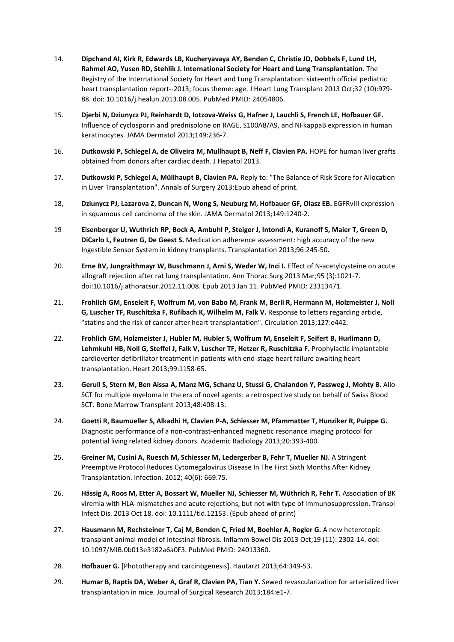- 14. **Dipchand AI, Kirk R, Edwards LB, Kucheryavaya AY, Benden C, Christie JD, Dobbels F, Lund LH, Rahmel AO, Yusen RD, Stehlik J. International Society for Heart and Lung Transplantation.** The Registry of the International Society for Heart and Lung Transplantation: sixteenth official pediatric heart transplantation report--2013; focus theme: age. J Heart Lung Transplant 2013 Oct;32 (10):979- 88. doi: 10.1016/j.healun.2013.08.005. PubMed PMID: 24054806.
- 15. **Djerbi N, Dziunycz PJ, Reinhardt D, Iotzova-Weiss G, Hafner J, Lauchli S, French LE, Hofbauer GF.** Influence of cyclosporin and prednisolone on RAGE, S100A8/A9, and NFkappaB expression in human keratinocytes. JAMA Dermatol 2013;149:236-7.
- 16. **Dutkowski P, Schlegel A, de Oliveira M, Mullhaupt B, Neff F, Clavien PA.** HOPE for human liver grafts obtained from donors after cardiac death. J Hepatol 2013.
- 17. **Dutkowski P, Schlegel A, Müllhaupt B, Clavien PA.** Reply to: "The Balance of Risk Score for Allocation in Liver Transplantation". Annals of Surgery 2013:Epub ahead of print.
- 18, **Dziunycz PJ, Lazarova Z, Duncan N, Wong S, Neuburg M, Hofbauer GF, Olasz EB.** EGFRvIII expression in squamous cell carcinoma of the skin. JAMA Dermatol 2013;149:1240-2.
- 19 **Eisenberger U, Wuthrich RP, Bock A, Ambuhl P, Steiger J, Intondi A, Kuranoff S, Maier T, Green D, DiCarlo L, Feutren G, De Geest S.** Medication adherence assessment: high accuracy of the new Ingestible Sensor System in kidney transplants. Transplantation 2013;96:245-50.
- 20. **Erne BV, Jungraithmayr W, Buschmann J, Arni S, Weder W, Inci I.** Effect of N-acetylcysteine on acute allograft rejection after rat lung transplantation. Ann Thorac Surg 2013 Mar;95 (3):1021-7. doi:10.1016/j.athoracsur.2012.11.008. Epub 2013 Jan 11. PubMed PMID: 23313471.
- 21. **Frohlich GM, Enseleit F, Wolfrum M, von Babo M, Frank M, Berli R, Hermann M, Holzmeister J, Noll G, Luscher TF, Ruschitzka F, Rufibach K, Wilhelm M, Falk V.** Response to letters regarding article, "statins and the risk of cancer after heart transplantation". Circulation 2013;127:e442.
- 22. **Frohlich GM, Holzmeister J, Hubler M, Hubler S, Wolfrum M, Enseleit F, Seifert B, Hurlimann D, Lehmkuhl HB, Noll G, Steffel J, Falk V, Luscher TF, Hetzer R, Ruschitzka F.** Prophylactic implantable cardioverter defibrillator treatment in patients with end-stage heart failure awaiting heart transplantation. Heart 2013;99:1158-65.
- 23. **Gerull S, Stern M, Ben Aissa A, Manz MG, Schanz U, Stussi G, Chalandon Y, Passweg J, Mohty B.** Allo-SCT for multiple myeloma in the era of novel agents: a retrospective study on behalf of Swiss Blood SCT. Bone Marrow Transplant 2013;48:408-13.
- 24. **Goetti R, Baumueller S, Alkadhi H, Clavien P-A, Schiesser M, Pfammatter T, Hunziker R, Puippe G.**  Diagnostic performance of a non-contrast-enhanced magnetic resonance imaging protocol for potential living related kidney donors. Academic Radiology 2013;20:393-400.
- 25. **Greiner M, Cusini A, Ruesch M, Schiesser M, Ledergerber B, Fehr T, Mueller NJ.** A Stringent Preemptive Protocol Reduces Cytomegalovirus Disease In The First Sixth Months After Kidney Transplantation. Infection. 2012; 40(6): 669.75.
- 26. **Hässig A, Roos M, Etter A, Bossart W, Mueller NJ, Schiesser M, Wüthrich R, Fehr T.** Association of BK viremia with HLA-mismatches and acute rejections, but not with type of immunosuppression. Transpl Infect Dis. 2013 Oct 18. doi: 10.1111/tid.12153. (Epub ahead of print)
- 27. **Hausmann M, Rechsteiner T, Caj M, Benden C, Fried M, Boehler A, Rogler G.** A new heterotopic transplant animal model of intestinal fibrosis. Inflamm Bowel Dis 2013 Oct;19 (11): 2302-14. doi: 10.1097/MIB.0b013e3182a6a0F3. PubMed PMID: 24013360.
- 28. **Hofbauer G.** [Phototherapy and carcinogenesis]. Hautarzt 2013;64:349-53.
- 29. **Humar B, Raptis DA, Weber A, Graf R, Clavien PA, Tian Y.** Sewed revascularization for arterialized liver transplantation in mice. Journal of Surgical Research 2013;184:e1-7.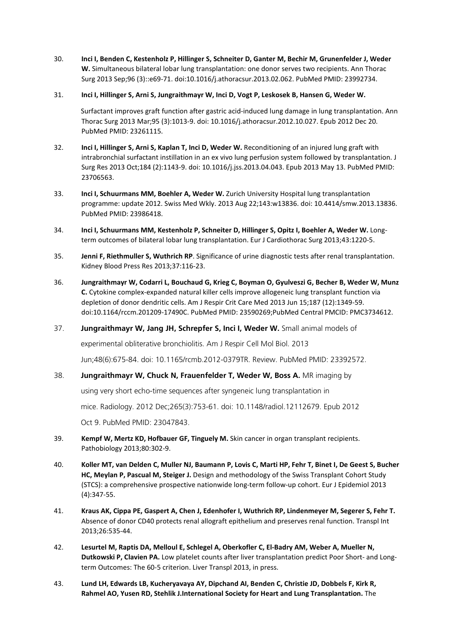- 30. **Inci I, Benden C, Kestenholz P, Hillinger S, Schneiter D, Ganter M, Bechir M, Grunenfelder J, Weder W.** Simultaneous bilateral lobar lung transplantation: one donor serves two recipients. Ann Thorac Surg 2013 Sep;96 (3)::e69-71. doi:10.1016/j.athoracsur.2013.02.062. PubMed PMID: 23992734.
- 31. **Inci I, Hillinger S, Arni S, Jungraithmayr W, Inci D, Vogt P, Leskosek B, Hansen G, Weder W.**

Surfactant improves graft function after gastric acid-induced lung damage in lung transplantation. Ann Thorac Surg 2013 Mar;95 (3):1013-9. doi: 10.1016/j.athoracsur.2012.10.027. Epub 2012 Dec 20. PubMed PMID: 23261115.

- 32. **Inci I, Hillinger S, Arni S, Kaplan T, Inci D, Weder W.** Reconditioning of an injured lung graft with intrabronchial surfactant instillation in an ex vivo lung perfusion system followed by transplantation. J Surg Res 2013 Oct;184 (2):1143-9. doi: 10.1016/j.jss.2013.04.043. Epub 2013 May 13. PubMed PMID: 23706563.
- 33. **Inci I, Schuurmans MM, Boehler A, Weder W.** Zurich University Hospital lung transplantation programme: update 2012. Swiss Med Wkly. 2013 Aug 22;143:w13836. doi: 10.4414/smw.2013.13836. PubMed PMID: 23986418.
- 34. **Inci I, Schuurmans MM, Kestenholz P, Schneiter D, Hillinger S, Opitz I, Boehler A, Weder W.** Longterm outcomes of bilateral lobar lung transplantation. Eur J Cardiothorac Surg 2013;43:1220-5.
- 35. **Jenni F, Riethmuller S, Wuthrich RP**. Significance of urine diagnostic tests after renal transplantation. Kidney Blood Press Res 2013;37:116-23.
- 36. **Jungraithmayr W, Codarri L, Bouchaud G, Krieg C, Boyman O, Gyulveszi G, Becher B, Weder W, Munz C.** Cytokine complex-expanded natural killer cells improve allogeneic lung transplant function via depletion of donor dendritic cells. Am J Respir Crit Care Med 2013 Jun 15;187 (12):1349-59. doi:10.1164/rccm.201209-17490C. PubMed PMID: 23590269;PubMed Central PMCID: PMC3734612.
- 37. **Jungraithmayr W, Jang JH, Schrepfer S, Inci I, Weder W.** Small animal models of

experimental obliterative bronchiolitis. Am J Respir Cell Mol Biol. 2013

Jun;48(6):675-84. doi: 10.1165/rcmb.2012-0379TR. Review. PubMed PMID: 23392572.

38. **Jungraithmayr W, Chuck N, Frauenfelder T, Weder W, Boss A.** MR imaging by

using very short echo-time sequences after syngeneic lung transplantation in

mice. Radiology. 2012 Dec;265(3):753-61. doi: 10.1148/radiol.12112679. Epub 2012

Oct 9. PubMed PMID: 23047843.

- 39. **Kempf W, Mertz KD, Hofbauer GF, Tinguely M.** Skin cancer in organ transplant recipients. Pathobiology 2013;80:302-9.
- 40. **Koller MT, van Delden C, Muller NJ, Baumann P, Lovis C, Marti HP, Fehr T, Binet I, De Geest S, Bucher HC, Meylan P, Pascual M, Steiger J.** Design and methodology of the Swiss Transplant Cohort Study (STCS): a comprehensive prospective nationwide long-term follow-up cohort. Eur J Epidemiol 2013 (4):347-55.
- 41. **Kraus AK, Cippa PE, Gaspert A, Chen J, Edenhofer I, Wuthrich RP, Lindenmeyer M, Segerer S, Fehr T.**  Absence of donor CD40 protects renal allograft epithelium and preserves renal function. Transpl Int 2013;26:535-44.
- 42. **Lesurtel M, Raptis DA, Melloul E, Schlegel A, Oberkofler C, El-Badry AM, Weber A, Mueller N, Dutkowski P, Clavien PA.** Low platelet counts after liver transplantation predict Poor Short- and Longterm Outcomes: The 60-5 criterion. Liver Transpl 2013, in press.
- 43. **Lund LH, Edwards LB, Kucheryavaya AY, Dipchand AI, Benden C, Christie JD, Dobbels F, Kirk R, Rahmel AO, Yusen RD, Stehlik J.International Society for Heart and Lung Transplantation.** The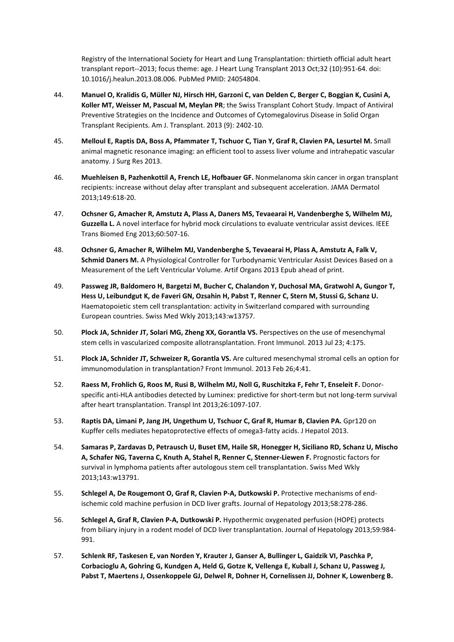Registry of the International Society for Heart and Lung Transplantation: thirtieth official adult heart transplant report--2013; focus theme: age. J Heart Lung Transplant 2013 Oct;32 (10):951-64. doi: 10.1016/j.healun.2013.08.006. PubMed PMID: 24054804.

- 44. **Manuel O, Kralidis G, Müller NJ, Hirsch HH, Garzoni C, van Delden C, Berger C, Boggian K, Cusini A, Koller MT, Weisser M, Pascual M, Meylan PR**; the Swiss Transplant Cohort Study. Impact of Antiviral Preventive Strategies on the Incidence and Outcomes of Cytomegalovirus Disease in Solid Organ Transplant Recipients. Am J. Transplant. 2013 (9): 2402-10.
- 45. Melloul E, Raptis DA, Boss A, Pfammater T, Tschuor C, Tian Y, Graf R, Clavien PA, Lesurtel M, Small animal magnetic resonance imaging: an efficient tool to assess liver volume and intrahepatic vascular anatomy. J Surg Res 2013.
- 46. **Muehleisen B, Pazhenkottil A, French LE, Hofbauer GF.** Nonmelanoma skin cancer in organ transplant recipients: increase without delay after transplant and subsequent acceleration. JAMA Dermatol 2013;149:618-20.
- 47. **Ochsner G, Amacher R, Amstutz A, Plass A, Daners MS, Tevaearai H, Vandenberghe S, Wilhelm MJ, Guzzella L.** A novel interface for hybrid mock circulations to evaluate ventricular assist devices. IEEE Trans Biomed Eng 2013;60:507-16.
- 48. **Ochsner G, Amacher R, Wilhelm MJ, Vandenberghe S, Tevaearai H, Plass A, Amstutz A, Falk V, Schmid Daners M.** A Physiological Controller for Turbodynamic Ventricular Assist Devices Based on a Measurement of the Left Ventricular Volume. Artif Organs 2013 Epub ahead of print.
- 49. **Passweg JR, Baldomero H, Bargetzi M, Bucher C, Chalandon Y, Duchosal MA, Gratwohl A, Gungor T, Hess U, Leibundgut K, de Faveri GN, Ozsahin H, Pabst T, Renner C, Stern M, Stussi G, Schanz U.**  Haematopoietic stem cell transplantation: activity in Switzerland compared with surrounding European countries. Swiss Med Wkly 2013;143:w13757.
- 50. **Plock JA, Schnider JT, Solari MG, Zheng XX, Gorantla VS.** Perspectives on the use of mesenchymal stem cells in vascularized composite allotransplantation. Front Immunol. 2013 Jul 23; 4:175.
- 51. **Plock JA, Schnider JT, Schweizer R, Gorantla VS.** Are cultured mesenchymal stromal cells an option for immunomodulation in transplantation? Front Immunol. 2013 Feb 26;4:41.
- 52. **Raess M, Frohlich G, Roos M, Rusi B, Wilhelm MJ, Noll G, Ruschitzka F, Fehr T, Enseleit F.** Donorspecific anti-HLA antibodies detected by Luminex: predictive for short-term but not long-term survival after heart transplantation. Transpl Int 2013;26:1097-107.
- 53. Raptis DA, Limani P, Jang JH, Ungethum U, Tschuor C, Graf R, Humar B, Clavien PA. Gpr120 on Kupffer cells mediates hepatoprotective effects of omega3-fatty acids. J Hepatol 2013.
- 54. **Samaras P, Zardavas D, Petrausch U, Buset EM, Haile SR, Honegger H, Siciliano RD, Schanz U, Mischo A, Schafer NG, Taverna C, Knuth A, Stahel R, Renner C, Stenner-Liewen F.** Prognostic factors for survival in lymphoma patients after autologous stem cell transplantation. Swiss Med Wkly 2013;143:w13791.
- 55. **Schlegel A, De Rougemont O, Graf R, Clavien P-A, Dutkowski P.** Protective mechanisms of endischemic cold machine perfusion in DCD liver grafts. Journal of Hepatology 2013;58:278-286.
- 56. **Schlegel A, Graf R, Clavien P-A, Dutkowski P.** Hypothermic oxygenated perfusion (HOPE) protects from biliary injury in a rodent model of DCD liver transplantation. Journal of Hepatology 2013;59:984- 991.
- 57. **Schlenk RF, Taskesen E, van Norden Y, Krauter J, Ganser A, Bullinger L, Gaidzik VI, Paschka P, Corbacioglu A, Gohring G, Kundgen A, Held G, Gotze K, Vellenga E, Kuball J, Schanz U, Passweg J, Pabst T, Maertens J, Ossenkoppele GJ, Delwel R, Dohner H, Cornelissen JJ, Dohner K, Lowenberg B.**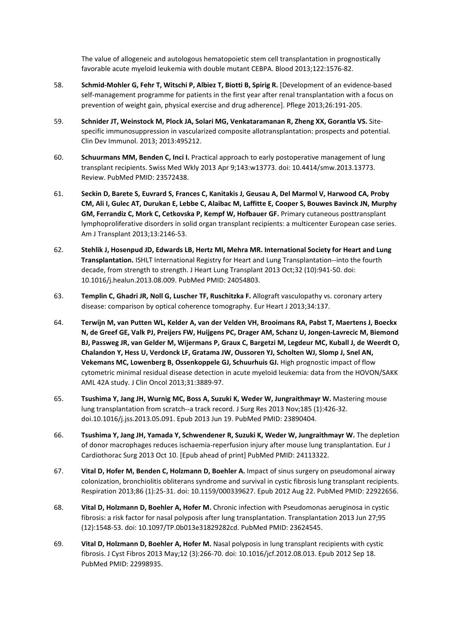The value of allogeneic and autologous hematopoietic stem cell transplantation in prognostically favorable acute myeloid leukemia with double mutant CEBPA. Blood 2013;122:1576-82.

- 58. **Schmid-Mohler G, Fehr T, Witschi P, Albiez T, Biotti B, Spirig R.** [Development of an evidence-based self-management programme for patients in the first year after renal transplantation with a focus on prevention of weight gain, physical exercise and drug adherence]. Pflege 2013;26:191-205.
- 59. **Schnider JT, Weinstock M, Plock JA, Solari MG, Venkataramanan R, Zheng XX, Gorantla VS.** Sitespecific immunosuppression in vascularized composite allotransplantation: prospects and potential. Clin Dev Immunol. 2013; 2013:495212.
- 60. **Schuurmans MM, Benden C, Inci I.** Practical approach to early postoperative management of lung transplant recipients. Swiss Med Wkly 2013 Apr 9;143:w13773. doi: 10.4414/smw.2013.13773. Review. PubMed PMID: 23572438.
- 61. **Seckin D, Barete S, Euvrard S, Frances C, Kanitakis J, Geusau A, Del Marmol V, Harwood CA, Proby CM, Ali I, Gulec AT, Durukan E, Lebbe C, Alaibac M, Laffitte E, Cooper S, Bouwes Bavinck JN, Murphy GM, Ferrandiz C, Mork C, Cetkovska P, Kempf W, Hofbauer GF.** Primary cutaneous posttransplant lymphoproliferative disorders in solid organ transplant recipients: a multicenter European case series. Am J Transplant 2013;13:2146-53.
- 62. **Stehlik J, Hosenpud JD, Edwards LB, Hertz MI, Mehra MR. International Society for Heart and Lung Transplantation.** ISHLT International Registry for Heart and Lung Transplantation--into the fourth decade, from strength to strength. J Heart Lung Transplant 2013 Oct;32 (10):941-50. doi: 10.1016/j.healun.2013.08.009. PubMed PMID: 24054803.
- 63. **Templin C, Ghadri JR, Noll G, Luscher TF, Ruschitzka F.** Allograft vasculopathy vs. coronary artery disease: comparison by optical coherence tomography. Eur Heart J 2013;34:137.
- 64. **Terwijn M, van Putten WL, Kelder A, van der Velden VH, Brooimans RA, Pabst T, Maertens J, Boeckx N, de Greef GE, Valk PJ, Preijers FW, Huijgens PC, Drager AM, Schanz U, Jongen-Lavrecic M, Biemond BJ, Passweg JR, van Gelder M, Wijermans P, Graux C, Bargetzi M, Legdeur MC, Kuball J, de Weerdt O, Chalandon Y, Hess U, Verdonck LF, Gratama JW, Oussoren YJ, Scholten WJ, Slomp J, Snel AN, Vekemans MC, Lowenberg B, Ossenkoppele GJ, Schuurhuis GJ.** High prognostic impact of flow cytometric minimal residual disease detection in acute myeloid leukemia: data from the HOVON/SAKK AML 42A study. J Clin Oncol 2013;31:3889-97.
- 65. **Tsushima Y, Jang JH, Wurnig MC, Boss A, Suzuki K, Weder W, Jungraithmayr W.** Mastering mouse lung transplantation from scratch--a track record. J Surg Res 2013 Nov;185 (1):426-32. doi.10.1016/j.jss.2013.05.091. Epub 2013 Jun 19. PubMed PMID: 23890404.
- 66. **Tsushima Y, Jang JH, Yamada Y, Schwendener R, Suzuki K, Weder W, Jungraithmayr W.** The depletion of donor macrophages reduces ischaemia-reperfusion injury after mouse lung transplantation. Eur J Cardiothorac Surg 2013 Oct 10. [Epub ahead of print] PubMed PMID: 24113322.
- 67. **Vital D, Hofer M, Benden C, Holzmann D, Boehler A.** Impact of sinus surgery on pseudomonal airway colonization, bronchiolitis obliterans syndrome and survival in cystic fibrosis lung transplant recipients. Respiration 2013;86 (1):25-31. doi: 10.1159/000339627. Epub 2012 Aug 22. PubMed PMID: 22922656.
- 68. **Vital D, Holzmann D, Boehler A, Hofer M.** Chronic infection with Pseudomonas aeruginosa in cystic fibrosis: a risk factor for nasal polyposis after lung transplantation. Transplantation 2013 Jun 27;95 (12):1548-53. doi: 10.1097/TP.0b013e31829282cd. PubMed PMID: 23624545.
- 69. **Vital D, Holzmann D, Boehler A, Hofer M.** Nasal polyposis in lung transplant recipients with cystic fibrosis. J Cyst Fibros 2013 May;12 (3):266-70. doi: 10.1016/jcf.2012.08.013. Epub 2012 Sep 18. PubMed PMID: 22998935.